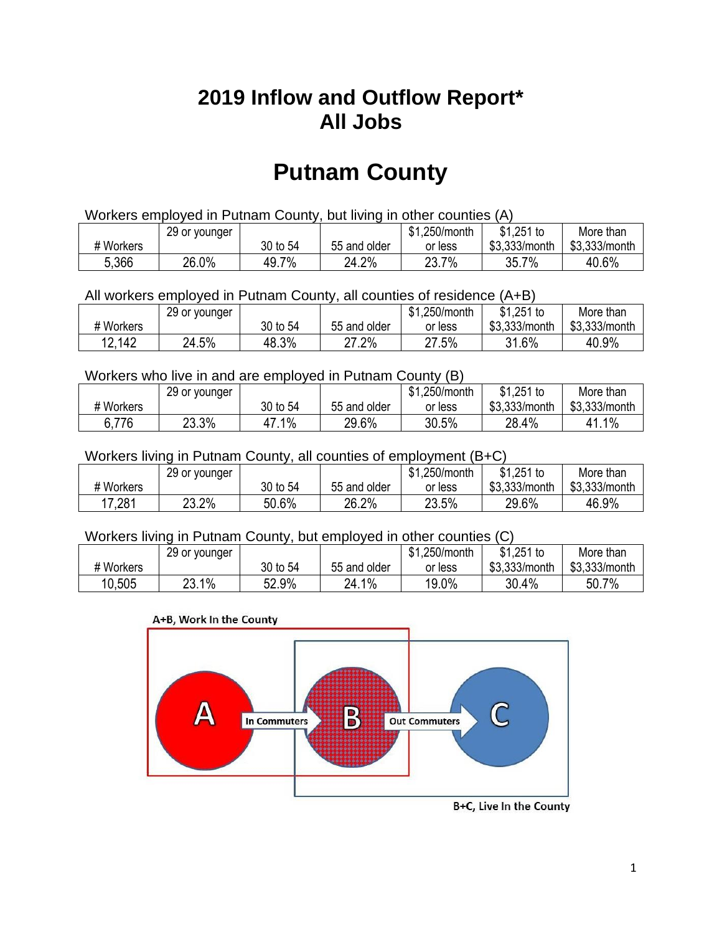## **2019 Inflow and Outflow Report\* All Jobs**

# **Putnam County**

| Workers employed in Putnam County, but living in other counties (A) |                                                            |          |              |         |               |               |  |  |  |
|---------------------------------------------------------------------|------------------------------------------------------------|----------|--------------|---------|---------------|---------------|--|--|--|
|                                                                     | $$1,251$ to<br>\$1.250/month<br>29 or younger<br>More than |          |              |         |               |               |  |  |  |
| # Workers                                                           |                                                            | 30 to 54 | 55 and older | or less | \$3.333/month | \$3.333/month |  |  |  |
| 5,366                                                               | 26.0%                                                      | 49.7%    | 24.2%        | 23.7%   | 35.7%         | 40.6%         |  |  |  |

All workers employed in Putnam County, all counties of residence (A+B)

|           | 29 or younger |          |              | \$1,250/month | $$1,251$ to   | More than     |
|-----------|---------------|----------|--------------|---------------|---------------|---------------|
| # Workers |               | 30 to 54 | 55 and older | or less       | \$3,333/month | \$3,333/month |
| 12,142    | 24.5%         | 48.3%    | 27.2%        | 27.5%         | 31.6%         | 40.9%         |

#### Workers who live in and are employed in Putnam County (B)

|           | 29 or younger |          |              | \$1,250/month | $$1,251$ to   | More than     |
|-----------|---------------|----------|--------------|---------------|---------------|---------------|
| # Workers |               | 30 to 54 | 55 and older | or less       | \$3,333/month | \$3,333/month |
| 6,776     | 23.3%         | $1\%$    | 29.6%        | 30.5%         | 28.4%         | 41.1%         |

#### Workers living in Putnam County, all counties of employment (B+C)

|           | 29 or younger |          |              | \$1,250/month | \$1,251 to    | More than     |
|-----------|---------------|----------|--------------|---------------|---------------|---------------|
| # Workers |               | 30 to 54 | 55 and older | or less       | \$3,333/month | \$3,333/month |
| 17,281    | 23.2%         | 50.6%    | 26.2%        | 23.5%         | 29.6%         | 46.9%         |

#### Workers living in Putnam County, but employed in other counties (C)

|           | 29 or younger |          |              | \$1,250/month | $$1,251$ to   | More than     |
|-----------|---------------|----------|--------------|---------------|---------------|---------------|
| # Workers |               | 30 to 54 | 55 and older | or less       | \$3,333/month | \$3,333/month |
| 10,505    | 23.1%         | 52.9%    | 24.1%        | 19.0%         | 30.4%         | 50.7%         |

#### A+B, Work In the County